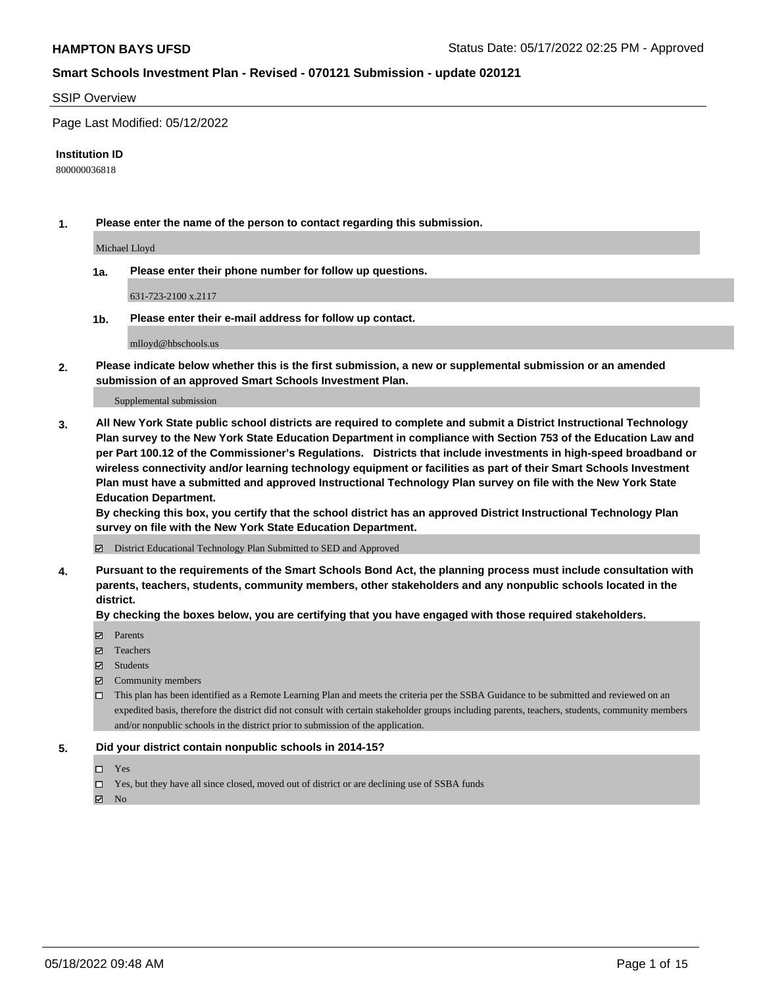#### SSIP Overview

Page Last Modified: 05/12/2022

#### **Institution ID**

800000036818

**1. Please enter the name of the person to contact regarding this submission.**

Michael Lloyd

**1a. Please enter their phone number for follow up questions.**

631-723-2100 x.2117

**1b. Please enter their e-mail address for follow up contact.**

mlloyd@hbschools.us

**2. Please indicate below whether this is the first submission, a new or supplemental submission or an amended submission of an approved Smart Schools Investment Plan.**

Supplemental submission

**3. All New York State public school districts are required to complete and submit a District Instructional Technology Plan survey to the New York State Education Department in compliance with Section 753 of the Education Law and per Part 100.12 of the Commissioner's Regulations. Districts that include investments in high-speed broadband or wireless connectivity and/or learning technology equipment or facilities as part of their Smart Schools Investment Plan must have a submitted and approved Instructional Technology Plan survey on file with the New York State Education Department.** 

**By checking this box, you certify that the school district has an approved District Instructional Technology Plan survey on file with the New York State Education Department.**

District Educational Technology Plan Submitted to SED and Approved

**4. Pursuant to the requirements of the Smart Schools Bond Act, the planning process must include consultation with parents, teachers, students, community members, other stakeholders and any nonpublic schools located in the district.** 

**By checking the boxes below, you are certifying that you have engaged with those required stakeholders.**

- **□** Parents
- Teachers
- Students
- $\Xi$  Community members
- This plan has been identified as a Remote Learning Plan and meets the criteria per the SSBA Guidance to be submitted and reviewed on an expedited basis, therefore the district did not consult with certain stakeholder groups including parents, teachers, students, community members and/or nonpublic schools in the district prior to submission of the application.

#### **5. Did your district contain nonpublic schools in 2014-15?**

- Yes
- $\Box$  Yes, but they have all since closed, moved out of district or are declining use of SSBA funds

 $\boxtimes$  No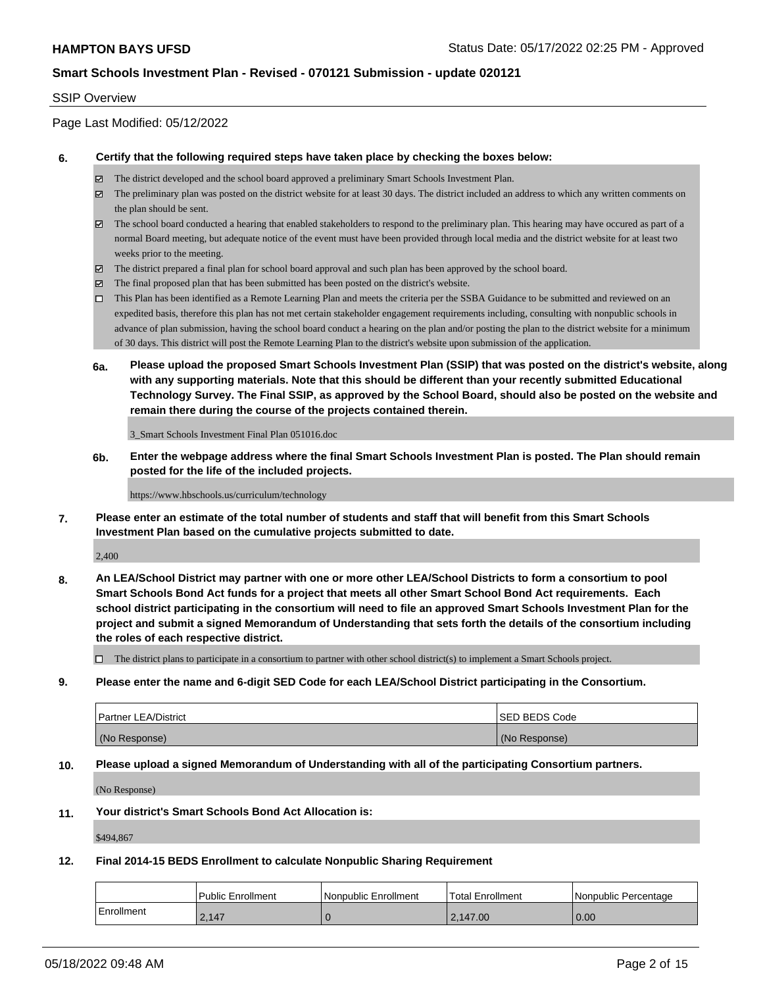#### SSIP Overview

Page Last Modified: 05/12/2022

#### **6. Certify that the following required steps have taken place by checking the boxes below:**

- The district developed and the school board approved a preliminary Smart Schools Investment Plan.
- $\boxtimes$  The preliminary plan was posted on the district website for at least 30 days. The district included an address to which any written comments on the plan should be sent.
- $\boxtimes$  The school board conducted a hearing that enabled stakeholders to respond to the preliminary plan. This hearing may have occured as part of a normal Board meeting, but adequate notice of the event must have been provided through local media and the district website for at least two weeks prior to the meeting.
- The district prepared a final plan for school board approval and such plan has been approved by the school board.
- $\boxtimes$  The final proposed plan that has been submitted has been posted on the district's website.
- This Plan has been identified as a Remote Learning Plan and meets the criteria per the SSBA Guidance to be submitted and reviewed on an expedited basis, therefore this plan has not met certain stakeholder engagement requirements including, consulting with nonpublic schools in advance of plan submission, having the school board conduct a hearing on the plan and/or posting the plan to the district website for a minimum of 30 days. This district will post the Remote Learning Plan to the district's website upon submission of the application.
- **6a. Please upload the proposed Smart Schools Investment Plan (SSIP) that was posted on the district's website, along with any supporting materials. Note that this should be different than your recently submitted Educational Technology Survey. The Final SSIP, as approved by the School Board, should also be posted on the website and remain there during the course of the projects contained therein.**

3\_Smart Schools Investment Final Plan 051016.doc

**6b. Enter the webpage address where the final Smart Schools Investment Plan is posted. The Plan should remain posted for the life of the included projects.**

https://www.hbschools.us/curriculum/technology

**7. Please enter an estimate of the total number of students and staff that will benefit from this Smart Schools Investment Plan based on the cumulative projects submitted to date.**

2,400

**8. An LEA/School District may partner with one or more other LEA/School Districts to form a consortium to pool Smart Schools Bond Act funds for a project that meets all other Smart School Bond Act requirements. Each school district participating in the consortium will need to file an approved Smart Schools Investment Plan for the project and submit a signed Memorandum of Understanding that sets forth the details of the consortium including the roles of each respective district.**

 $\Box$  The district plans to participate in a consortium to partner with other school district(s) to implement a Smart Schools project.

**9. Please enter the name and 6-digit SED Code for each LEA/School District participating in the Consortium.**

| <b>Partner LEA/District</b> | <b>ISED BEDS Code</b> |
|-----------------------------|-----------------------|
| (No Response)               | (No Response)         |

#### **10. Please upload a signed Memorandum of Understanding with all of the participating Consortium partners.**

(No Response)

#### **11. Your district's Smart Schools Bond Act Allocation is:**

\$494,867

#### **12. Final 2014-15 BEDS Enrollment to calculate Nonpublic Sharing Requirement**

|              | Public Enrollment | l Nonpublic Enrollment | <b>Total Enrollment</b> | I Nonpublic Percentage |
|--------------|-------------------|------------------------|-------------------------|------------------------|
| l Enrollment | 2.147             |                        | 2.147.00                | 0.00                   |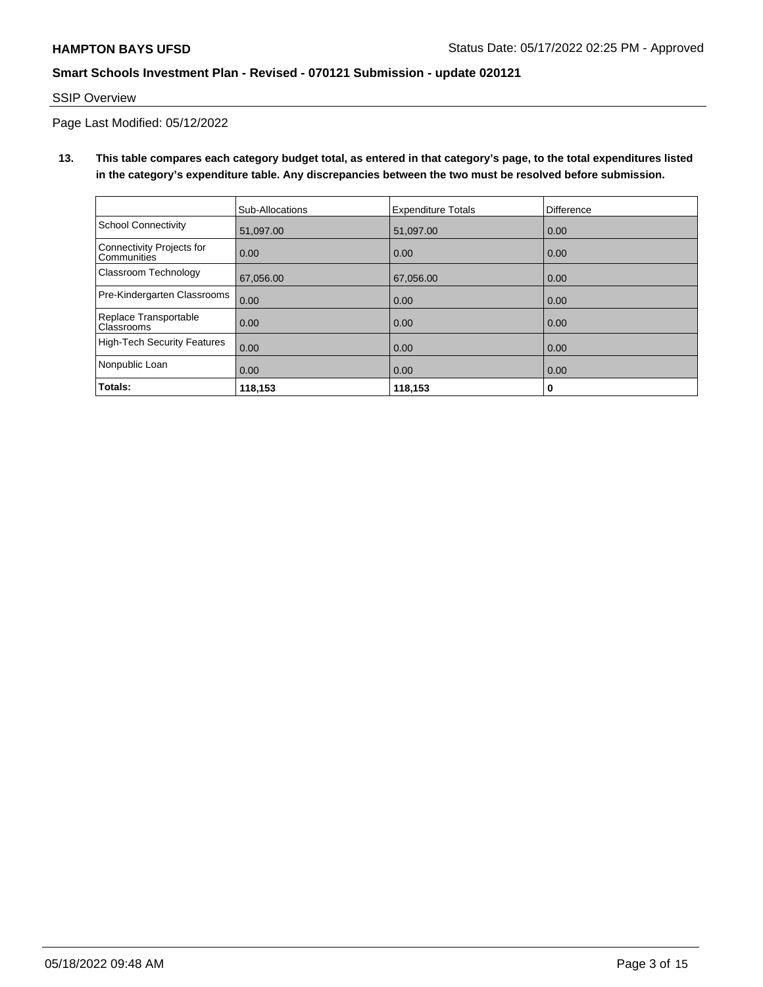SSIP Overview

Page Last Modified: 05/12/2022

**13. This table compares each category budget total, as entered in that category's page, to the total expenditures listed in the category's expenditure table. Any discrepancies between the two must be resolved before submission.**

|                                                 | Sub-Allocations | <b>Expenditure Totals</b> | <b>Difference</b> |
|-------------------------------------------------|-----------------|---------------------------|-------------------|
| School Connectivity                             | 51,097.00       | 51,097.00                 | 0.00              |
| Connectivity Projects for<br><b>Communities</b> | 0.00            | 0.00                      | 0.00              |
| Classroom Technology                            | 67,056.00       | 67,056.00                 | 0.00              |
| Pre-Kindergarten Classrooms                     | 0.00            | 0.00                      | 0.00              |
| Replace Transportable<br>Classrooms             | 0.00            | 0.00                      | 0.00              |
| High-Tech Security Features                     | 0.00            | 0.00                      | 0.00              |
| Nonpublic Loan                                  | 0.00            | 0.00                      | 0.00              |
| Totals:                                         | 118,153         | 118,153                   | 0                 |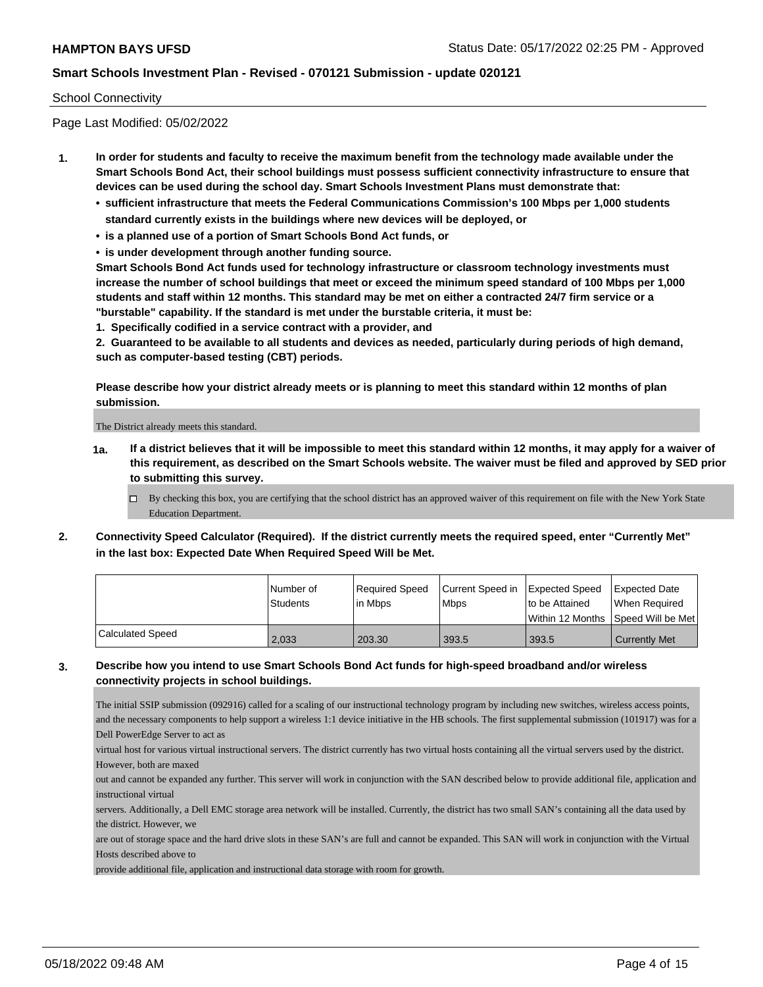#### School Connectivity

Page Last Modified: 05/02/2022

- **1. In order for students and faculty to receive the maximum benefit from the technology made available under the Smart Schools Bond Act, their school buildings must possess sufficient connectivity infrastructure to ensure that devices can be used during the school day. Smart Schools Investment Plans must demonstrate that:**
	- **• sufficient infrastructure that meets the Federal Communications Commission's 100 Mbps per 1,000 students standard currently exists in the buildings where new devices will be deployed, or**
	- **• is a planned use of a portion of Smart Schools Bond Act funds, or**
	- **• is under development through another funding source.**

**Smart Schools Bond Act funds used for technology infrastructure or classroom technology investments must increase the number of school buildings that meet or exceed the minimum speed standard of 100 Mbps per 1,000 students and staff within 12 months. This standard may be met on either a contracted 24/7 firm service or a "burstable" capability. If the standard is met under the burstable criteria, it must be:**

**1. Specifically codified in a service contract with a provider, and**

**2. Guaranteed to be available to all students and devices as needed, particularly during periods of high demand, such as computer-based testing (CBT) periods.**

**Please describe how your district already meets or is planning to meet this standard within 12 months of plan submission.**

The District already meets this standard.

- **1a. If a district believes that it will be impossible to meet this standard within 12 months, it may apply for a waiver of this requirement, as described on the Smart Schools website. The waiver must be filed and approved by SED prior to submitting this survey.**
	- By checking this box, you are certifying that the school district has an approved waiver of this requirement on file with the New York State Education Department.
- **2. Connectivity Speed Calculator (Required). If the district currently meets the required speed, enter "Currently Met" in the last box: Expected Date When Required Speed Will be Met.**

|                  | l Number of<br><b>Students</b> | Required Speed | Current Speed in Expected Speed |                                                        | Expected Date        |
|------------------|--------------------------------|----------------|---------------------------------|--------------------------------------------------------|----------------------|
|                  |                                | l in Mbps      | <b>Mbps</b>                     | to be Attained<br>Within 12 Months   Speed Will be Met | When Required        |
| Calculated Speed | 2.033                          | 203.30         | 393.5                           | 393.5                                                  | <b>Currently Met</b> |

#### **3. Describe how you intend to use Smart Schools Bond Act funds for high-speed broadband and/or wireless connectivity projects in school buildings.**

The initial SSIP submission (092916) called for a scaling of our instructional technology program by including new switches, wireless access points, and the necessary components to help support a wireless 1:1 device initiative in the HB schools. The first supplemental submission (101917) was for a Dell PowerEdge Server to act as

virtual host for various virtual instructional servers. The district currently has two virtual hosts containing all the virtual servers used by the district. However, both are maxed

out and cannot be expanded any further. This server will work in conjunction with the SAN described below to provide additional file, application and instructional virtual

servers. Additionally, a Dell EMC storage area network will be installed. Currently, the district has two small SAN's containing all the data used by the district. However, we

are out of storage space and the hard drive slots in these SAN's are full and cannot be expanded. This SAN will work in conjunction with the Virtual Hosts described above to

provide additional file, application and instructional data storage with room for growth.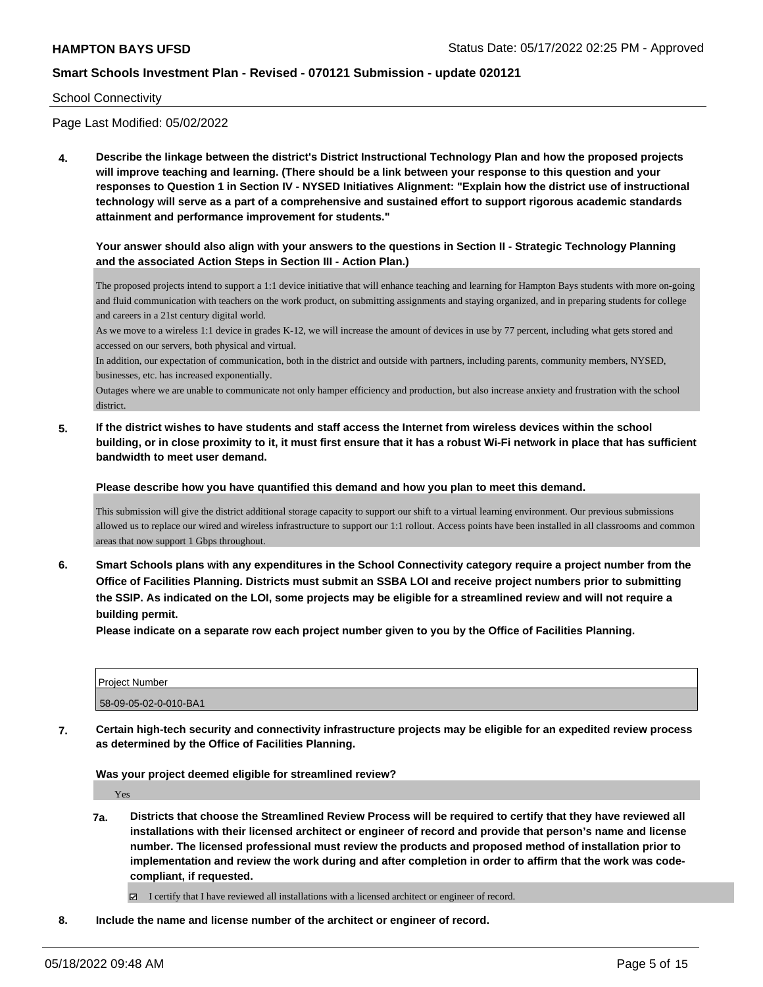#### School Connectivity

Page Last Modified: 05/02/2022

**4. Describe the linkage between the district's District Instructional Technology Plan and how the proposed projects will improve teaching and learning. (There should be a link between your response to this question and your responses to Question 1 in Section IV - NYSED Initiatives Alignment: "Explain how the district use of instructional technology will serve as a part of a comprehensive and sustained effort to support rigorous academic standards attainment and performance improvement for students."** 

#### **Your answer should also align with your answers to the questions in Section II - Strategic Technology Planning and the associated Action Steps in Section III - Action Plan.)**

The proposed projects intend to support a 1:1 device initiative that will enhance teaching and learning for Hampton Bays students with more on-going and fluid communication with teachers on the work product, on submitting assignments and staying organized, and in preparing students for college and careers in a 21st century digital world.

As we move to a wireless 1:1 device in grades K-12, we will increase the amount of devices in use by 77 percent, including what gets stored and accessed on our servers, both physical and virtual.

In addition, our expectation of communication, both in the district and outside with partners, including parents, community members, NYSED, businesses, etc. has increased exponentially.

Outages where we are unable to communicate not only hamper efficiency and production, but also increase anxiety and frustration with the school district.

**5. If the district wishes to have students and staff access the Internet from wireless devices within the school building, or in close proximity to it, it must first ensure that it has a robust Wi-Fi network in place that has sufficient bandwidth to meet user demand.**

**Please describe how you have quantified this demand and how you plan to meet this demand.**

This submission will give the district additional storage capacity to support our shift to a virtual learning environment. Our previous submissions allowed us to replace our wired and wireless infrastructure to support our 1:1 rollout. Access points have been installed in all classrooms and common areas that now support 1 Gbps throughout.

**6. Smart Schools plans with any expenditures in the School Connectivity category require a project number from the Office of Facilities Planning. Districts must submit an SSBA LOI and receive project numbers prior to submitting the SSIP. As indicated on the LOI, some projects may be eligible for a streamlined review and will not require a building permit.**

**Please indicate on a separate row each project number given to you by the Office of Facilities Planning.**

| <b>Project Number</b> |  |
|-----------------------|--|
| 58-09-05-02-0-010-BA1 |  |

**7. Certain high-tech security and connectivity infrastructure projects may be eligible for an expedited review process as determined by the Office of Facilities Planning.**

**Was your project deemed eligible for streamlined review?**

Yes

**7a. Districts that choose the Streamlined Review Process will be required to certify that they have reviewed all installations with their licensed architect or engineer of record and provide that person's name and license number. The licensed professional must review the products and proposed method of installation prior to implementation and review the work during and after completion in order to affirm that the work was codecompliant, if requested.**

I certify that I have reviewed all installations with a licensed architect or engineer of record.

**8. Include the name and license number of the architect or engineer of record.**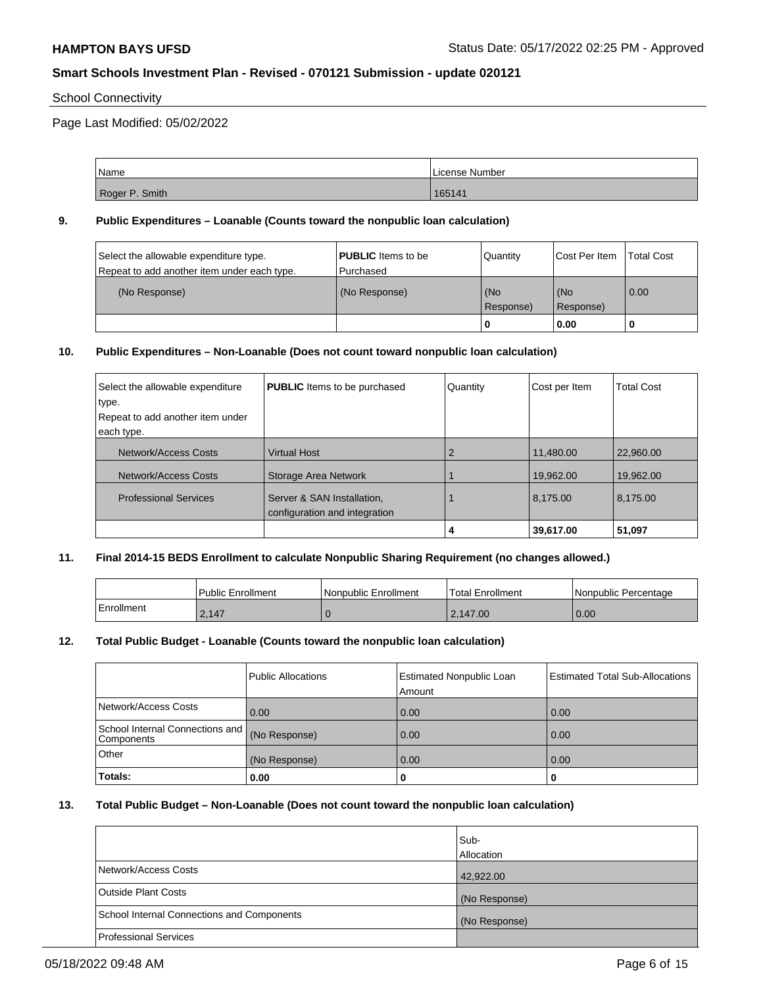### School Connectivity

Page Last Modified: 05/02/2022

| Name           | License Number |
|----------------|----------------|
| Roger P. Smith | 165141         |

#### **9. Public Expenditures – Loanable (Counts toward the nonpublic loan calculation)**

| Select the allowable expenditure type.<br>Repeat to add another item under each type. | <b>PUBLIC</b> Items to be<br>l Purchased | Quantity         | Cost Per Item    | <b>Total Cost</b> |
|---------------------------------------------------------------------------------------|------------------------------------------|------------------|------------------|-------------------|
| (No Response)                                                                         | (No Response)                            | (No<br>Response) | (No<br>Response) | 0.00              |
|                                                                                       |                                          | 0                | 0.00             |                   |

#### **10. Public Expenditures – Non-Loanable (Does not count toward nonpublic loan calculation)**

| Select the allowable expenditure<br>type.<br>Repeat to add another item under<br>each type. | <b>PUBLIC</b> Items to be purchased                         | Quantity | Cost per Item | <b>Total Cost</b> |
|---------------------------------------------------------------------------------------------|-------------------------------------------------------------|----------|---------------|-------------------|
| Network/Access Costs                                                                        | <b>Virtual Host</b>                                         |          | 11,480.00     | 22,960,00         |
| Network/Access Costs                                                                        | <b>Storage Area Network</b>                                 |          | 19,962.00     | 19,962.00         |
| <b>Professional Services</b>                                                                | Server & SAN Installation,<br>configuration and integration |          | 8,175.00      | 8,175.00          |
|                                                                                             |                                                             |          | 39,617.00     | 51,097            |

#### **11. Final 2014-15 BEDS Enrollment to calculate Nonpublic Sharing Requirement (no changes allowed.)**

|            | <b>Public Enrollment</b> | Nonpublic Enrollment | <b>Total Enrollment</b> | Nonpublic Percentage |
|------------|--------------------------|----------------------|-------------------------|----------------------|
| Enrollment | 2,147                    |                      | 2.147.00                | 0.00                 |

#### **12. Total Public Budget - Loanable (Counts toward the nonpublic loan calculation)**

|                                               | Public Allocations | <b>Estimated Nonpublic Loan</b><br>Amount | <b>Estimated Total Sub-Allocations</b> |
|-----------------------------------------------|--------------------|-------------------------------------------|----------------------------------------|
| Network/Access Costs                          | 0.00               | 0.00                                      | 0.00                                   |
| School Internal Connections and<br>Components | (No Response)      | 0.00                                      | 0.00                                   |
| Other                                         | (No Response)      | 0.00                                      | 0.00                                   |
| Totals:                                       | 0.00               | 0                                         |                                        |

#### **13. Total Public Budget – Non-Loanable (Does not count toward the nonpublic loan calculation)**

|                                            | lSub-<br><b>Allocation</b> |
|--------------------------------------------|----------------------------|
| Network/Access Costs                       | 42,922.00                  |
| <b>Outside Plant Costs</b>                 | (No Response)              |
| School Internal Connections and Components | (No Response)              |
| <b>Professional Services</b>               |                            |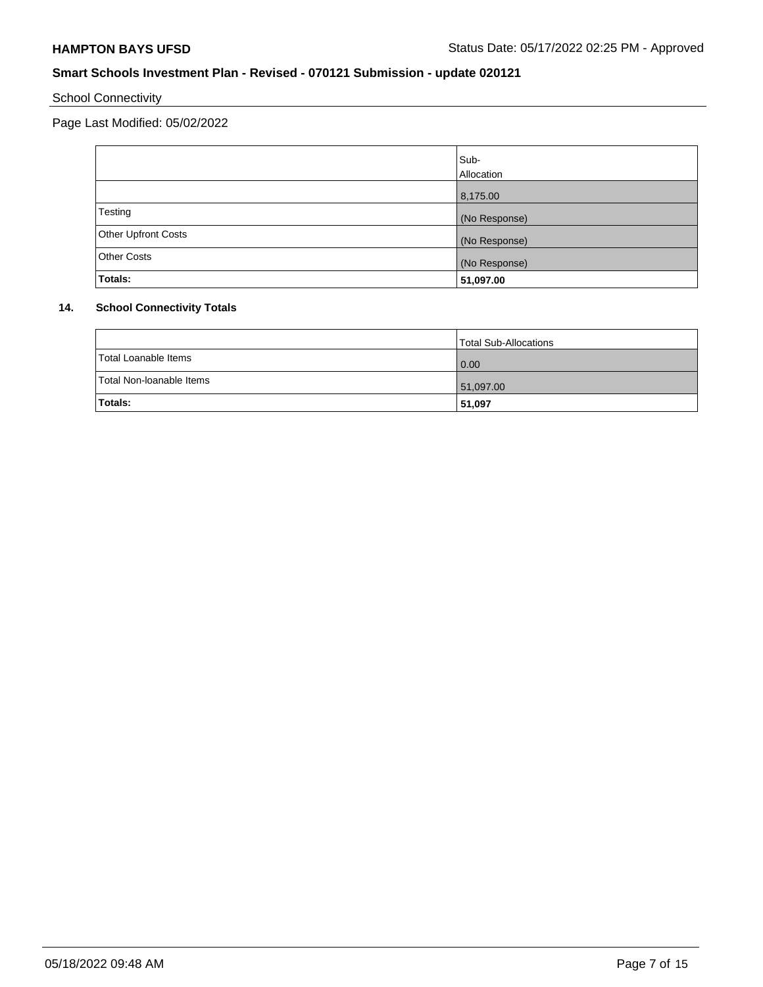# School Connectivity

Page Last Modified: 05/02/2022

|                     | Sub-          |
|---------------------|---------------|
|                     | Allocation    |
|                     | 8,175.00      |
| Testing             | (No Response) |
| Other Upfront Costs | (No Response) |
| <b>Other Costs</b>  | (No Response) |
| Totals:             | 51,097.00     |

# **14. School Connectivity Totals**

|                          | Total Sub-Allocations |
|--------------------------|-----------------------|
| Total Loanable Items     | 0.00                  |
| Total Non-Ioanable Items | 51,097.00             |
| Totals:                  | 51,097                |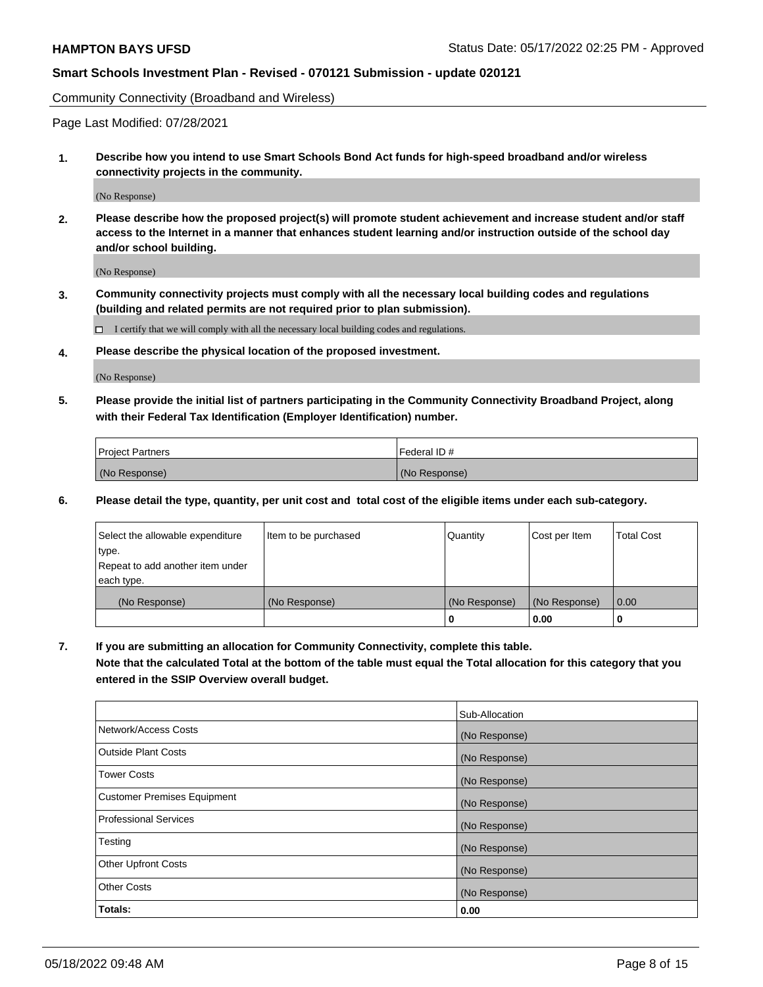Community Connectivity (Broadband and Wireless)

Page Last Modified: 07/28/2021

**1. Describe how you intend to use Smart Schools Bond Act funds for high-speed broadband and/or wireless connectivity projects in the community.**

(No Response)

**2. Please describe how the proposed project(s) will promote student achievement and increase student and/or staff access to the Internet in a manner that enhances student learning and/or instruction outside of the school day and/or school building.**

(No Response)

**3. Community connectivity projects must comply with all the necessary local building codes and regulations (building and related permits are not required prior to plan submission).**

 $\Box$  I certify that we will comply with all the necessary local building codes and regulations.

**4. Please describe the physical location of the proposed investment.**

(No Response)

**5. Please provide the initial list of partners participating in the Community Connectivity Broadband Project, along with their Federal Tax Identification (Employer Identification) number.**

| <b>Project Partners</b> | l Federal ID # |
|-------------------------|----------------|
| (No Response)           | (No Response)  |

**6. Please detail the type, quantity, per unit cost and total cost of the eligible items under each sub-category.**

| Select the allowable expenditure | Item to be purchased | Quantity      | Cost per Item | <b>Total Cost</b> |
|----------------------------------|----------------------|---------------|---------------|-------------------|
| type.                            |                      |               |               |                   |
| Repeat to add another item under |                      |               |               |                   |
| each type.                       |                      |               |               |                   |
| (No Response)                    | (No Response)        | (No Response) | (No Response) | 0.00              |
|                                  |                      | 0             | 0.00          |                   |

**7. If you are submitting an allocation for Community Connectivity, complete this table.**

**Note that the calculated Total at the bottom of the table must equal the Total allocation for this category that you entered in the SSIP Overview overall budget.**

|                                    | Sub-Allocation |
|------------------------------------|----------------|
| Network/Access Costs               | (No Response)  |
| Outside Plant Costs                | (No Response)  |
| <b>Tower Costs</b>                 | (No Response)  |
| <b>Customer Premises Equipment</b> | (No Response)  |
| Professional Services              | (No Response)  |
| Testing                            | (No Response)  |
| <b>Other Upfront Costs</b>         | (No Response)  |
| <b>Other Costs</b>                 | (No Response)  |
| Totals:                            | 0.00           |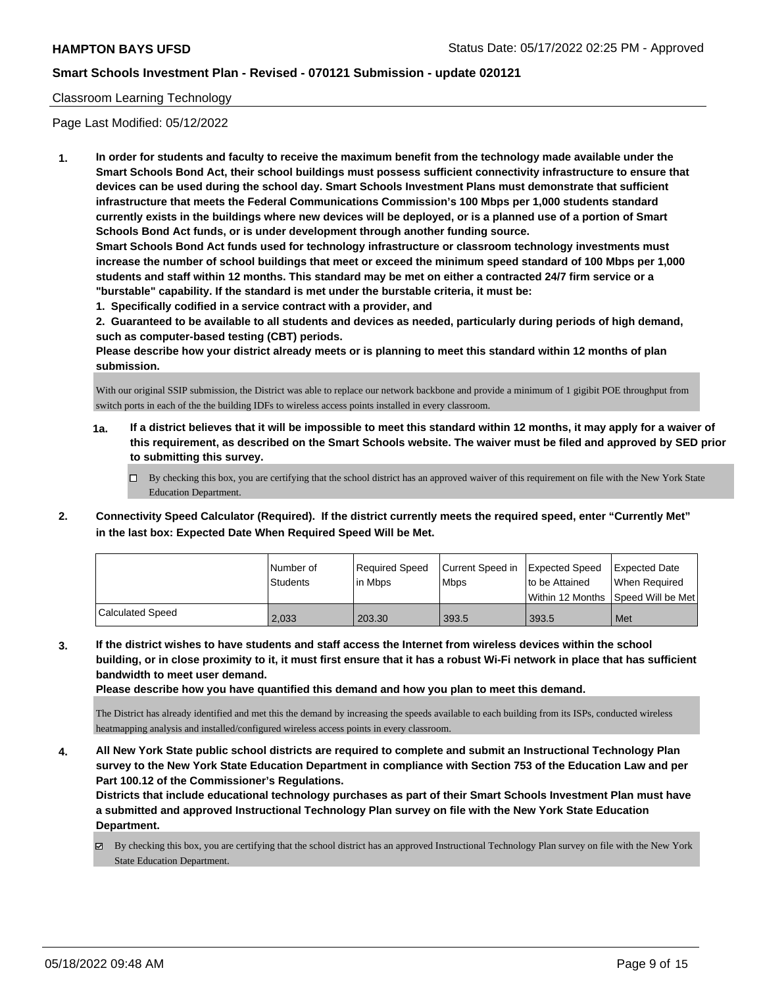#### Classroom Learning Technology

Page Last Modified: 05/12/2022

**1. In order for students and faculty to receive the maximum benefit from the technology made available under the Smart Schools Bond Act, their school buildings must possess sufficient connectivity infrastructure to ensure that devices can be used during the school day. Smart Schools Investment Plans must demonstrate that sufficient infrastructure that meets the Federal Communications Commission's 100 Mbps per 1,000 students standard currently exists in the buildings where new devices will be deployed, or is a planned use of a portion of Smart Schools Bond Act funds, or is under development through another funding source.**

**Smart Schools Bond Act funds used for technology infrastructure or classroom technology investments must increase the number of school buildings that meet or exceed the minimum speed standard of 100 Mbps per 1,000 students and staff within 12 months. This standard may be met on either a contracted 24/7 firm service or a "burstable" capability. If the standard is met under the burstable criteria, it must be:**

**1. Specifically codified in a service contract with a provider, and**

**2. Guaranteed to be available to all students and devices as needed, particularly during periods of high demand, such as computer-based testing (CBT) periods.**

**Please describe how your district already meets or is planning to meet this standard within 12 months of plan submission.**

With our original SSIP submission, the District was able to replace our network backbone and provide a minimum of 1 gigibit POE throughput from switch ports in each of the the building IDFs to wireless access points installed in every classroom.

- **1a. If a district believes that it will be impossible to meet this standard within 12 months, it may apply for a waiver of this requirement, as described on the Smart Schools website. The waiver must be filed and approved by SED prior to submitting this survey.**
	- By checking this box, you are certifying that the school district has an approved waiver of this requirement on file with the New York State Education Department.
- **2. Connectivity Speed Calculator (Required). If the district currently meets the required speed, enter "Currently Met" in the last box: Expected Date When Required Speed Will be Met.**

|                  | l Number of     | Reauired Speed | Current Speed in Expected Speed |                | Expected Date                        |
|------------------|-----------------|----------------|---------------------------------|----------------|--------------------------------------|
|                  | <b>Students</b> | l in Mbps      | l Mbps                          | to be Attained | When Required                        |
|                  |                 |                |                                 |                | Within 12 Months   Speed Will be Met |
| Calculated Speed | 2,033           | 203.30         | 393.5                           | 393.5          | Met                                  |

**3. If the district wishes to have students and staff access the Internet from wireless devices within the school building, or in close proximity to it, it must first ensure that it has a robust Wi-Fi network in place that has sufficient bandwidth to meet user demand.**

**Please describe how you have quantified this demand and how you plan to meet this demand.**

The District has already identified and met this the demand by increasing the speeds available to each building from its ISPs, conducted wireless heatmapping analysis and installed/configured wireless access points in every classroom.

**4. All New York State public school districts are required to complete and submit an Instructional Technology Plan survey to the New York State Education Department in compliance with Section 753 of the Education Law and per Part 100.12 of the Commissioner's Regulations.**

**Districts that include educational technology purchases as part of their Smart Schools Investment Plan must have a submitted and approved Instructional Technology Plan survey on file with the New York State Education Department.**

By checking this box, you are certifying that the school district has an approved Instructional Technology Plan survey on file with the New York State Education Department.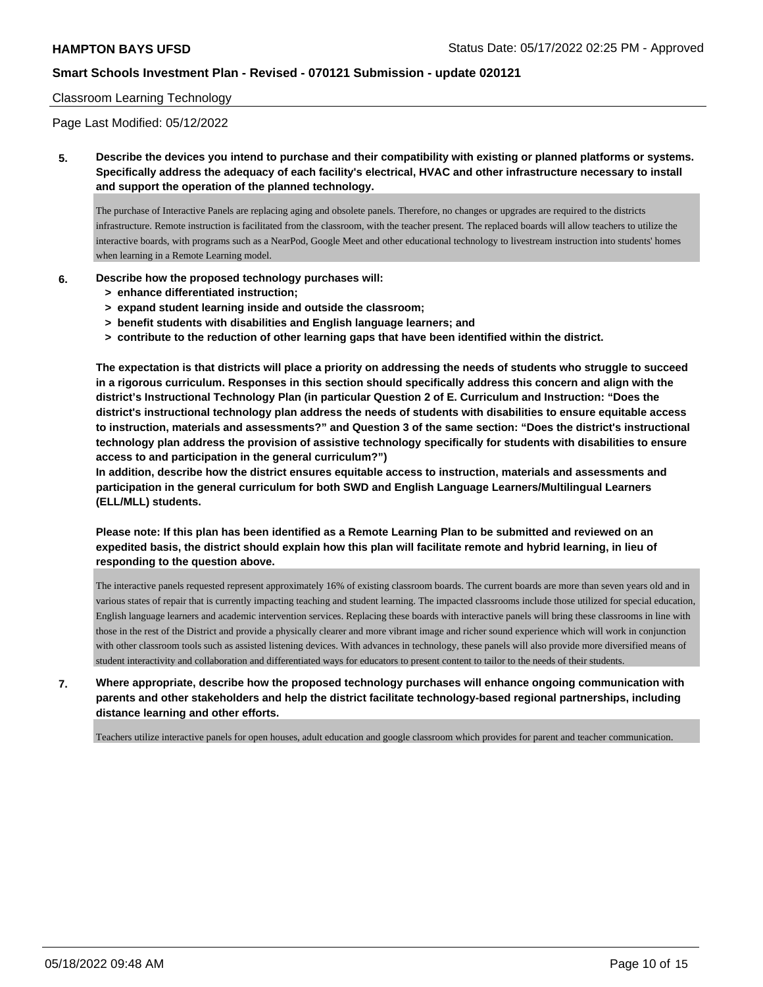#### Classroom Learning Technology

Page Last Modified: 05/12/2022

**5. Describe the devices you intend to purchase and their compatibility with existing or planned platforms or systems. Specifically address the adequacy of each facility's electrical, HVAC and other infrastructure necessary to install and support the operation of the planned technology.**

The purchase of Interactive Panels are replacing aging and obsolete panels. Therefore, no changes or upgrades are required to the districts infrastructure. Remote instruction is facilitated from the classroom, with the teacher present. The replaced boards will allow teachers to utilize the interactive boards, with programs such as a NearPod, Google Meet and other educational technology to livestream instruction into students' homes when learning in a Remote Learning model.

- **6. Describe how the proposed technology purchases will:**
	- **> enhance differentiated instruction;**
	- **> expand student learning inside and outside the classroom;**
	- **> benefit students with disabilities and English language learners; and**
	- **> contribute to the reduction of other learning gaps that have been identified within the district.**

**The expectation is that districts will place a priority on addressing the needs of students who struggle to succeed in a rigorous curriculum. Responses in this section should specifically address this concern and align with the district's Instructional Technology Plan (in particular Question 2 of E. Curriculum and Instruction: "Does the district's instructional technology plan address the needs of students with disabilities to ensure equitable access to instruction, materials and assessments?" and Question 3 of the same section: "Does the district's instructional technology plan address the provision of assistive technology specifically for students with disabilities to ensure access to and participation in the general curriculum?")**

**In addition, describe how the district ensures equitable access to instruction, materials and assessments and participation in the general curriculum for both SWD and English Language Learners/Multilingual Learners (ELL/MLL) students.**

**Please note: If this plan has been identified as a Remote Learning Plan to be submitted and reviewed on an expedited basis, the district should explain how this plan will facilitate remote and hybrid learning, in lieu of responding to the question above.**

The interactive panels requested represent approximately 16% of existing classroom boards. The current boards are more than seven years old and in various states of repair that is currently impacting teaching and student learning. The impacted classrooms include those utilized for special education, English language learners and academic intervention services. Replacing these boards with interactive panels will bring these classrooms in line with those in the rest of the District and provide a physically clearer and more vibrant image and richer sound experience which will work in conjunction with other classroom tools such as assisted listening devices. With advances in technology, these panels will also provide more diversified means of student interactivity and collaboration and differentiated ways for educators to present content to tailor to the needs of their students.

**7. Where appropriate, describe how the proposed technology purchases will enhance ongoing communication with parents and other stakeholders and help the district facilitate technology-based regional partnerships, including distance learning and other efforts.**

Teachers utilize interactive panels for open houses, adult education and google classroom which provides for parent and teacher communication.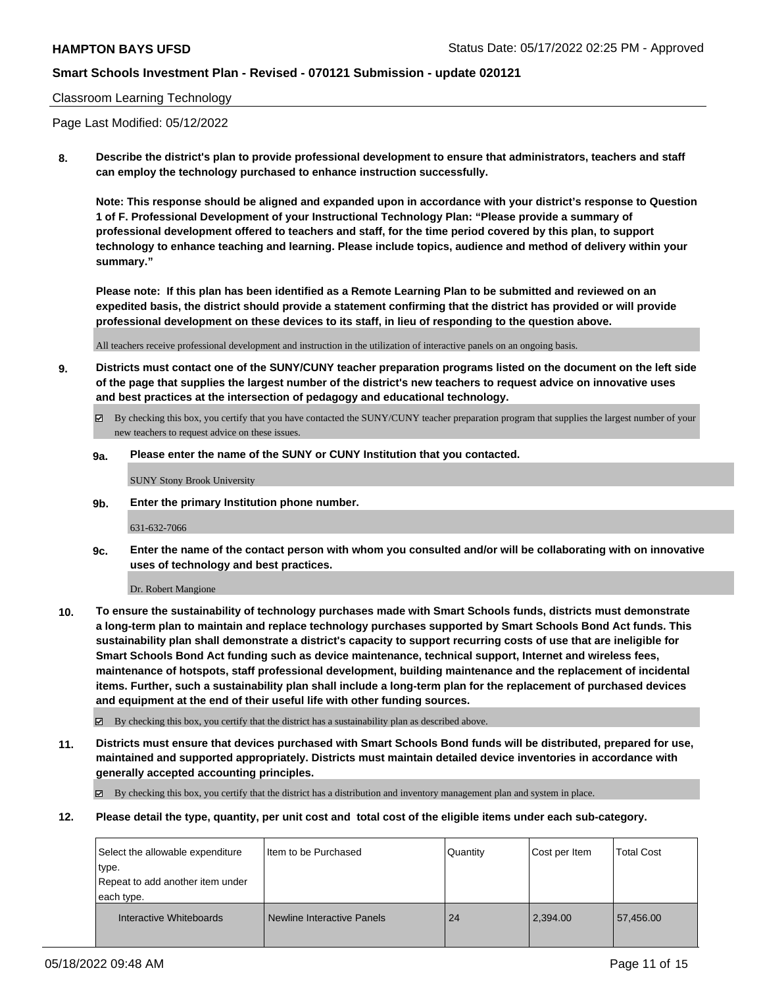#### Classroom Learning Technology

Page Last Modified: 05/12/2022

**8. Describe the district's plan to provide professional development to ensure that administrators, teachers and staff can employ the technology purchased to enhance instruction successfully.**

**Note: This response should be aligned and expanded upon in accordance with your district's response to Question 1 of F. Professional Development of your Instructional Technology Plan: "Please provide a summary of professional development offered to teachers and staff, for the time period covered by this plan, to support technology to enhance teaching and learning. Please include topics, audience and method of delivery within your summary."**

**Please note: If this plan has been identified as a Remote Learning Plan to be submitted and reviewed on an expedited basis, the district should provide a statement confirming that the district has provided or will provide professional development on these devices to its staff, in lieu of responding to the question above.**

All teachers receive professional development and instruction in the utilization of interactive panels on an ongoing basis.

- **9. Districts must contact one of the SUNY/CUNY teacher preparation programs listed on the document on the left side of the page that supplies the largest number of the district's new teachers to request advice on innovative uses and best practices at the intersection of pedagogy and educational technology.**
	- By checking this box, you certify that you have contacted the SUNY/CUNY teacher preparation program that supplies the largest number of your new teachers to request advice on these issues.
	- **9a. Please enter the name of the SUNY or CUNY Institution that you contacted.**

SUNY Stony Brook University

**9b. Enter the primary Institution phone number.**

631-632-7066

**9c. Enter the name of the contact person with whom you consulted and/or will be collaborating with on innovative uses of technology and best practices.**

Dr. Robert Mangione

**10. To ensure the sustainability of technology purchases made with Smart Schools funds, districts must demonstrate a long-term plan to maintain and replace technology purchases supported by Smart Schools Bond Act funds. This sustainability plan shall demonstrate a district's capacity to support recurring costs of use that are ineligible for Smart Schools Bond Act funding such as device maintenance, technical support, Internet and wireless fees, maintenance of hotspots, staff professional development, building maintenance and the replacement of incidental items. Further, such a sustainability plan shall include a long-term plan for the replacement of purchased devices and equipment at the end of their useful life with other funding sources.**

By checking this box, you certify that the district has a sustainability plan as described above.

**11. Districts must ensure that devices purchased with Smart Schools Bond funds will be distributed, prepared for use, maintained and supported appropriately. Districts must maintain detailed device inventories in accordance with generally accepted accounting principles.**

By checking this box, you certify that the district has a distribution and inventory management plan and system in place.

**12. Please detail the type, quantity, per unit cost and total cost of the eligible items under each sub-category.**

| Select the allowable expenditure<br>type.<br>Repeat to add another item under<br>each type. | Item to be Purchased       | Quantity | Cost per Item | <b>Total Cost</b> |
|---------------------------------------------------------------------------------------------|----------------------------|----------|---------------|-------------------|
| Interactive Whiteboards                                                                     | Newline Interactive Panels | 24       | 2.394.00      | 57.456.00         |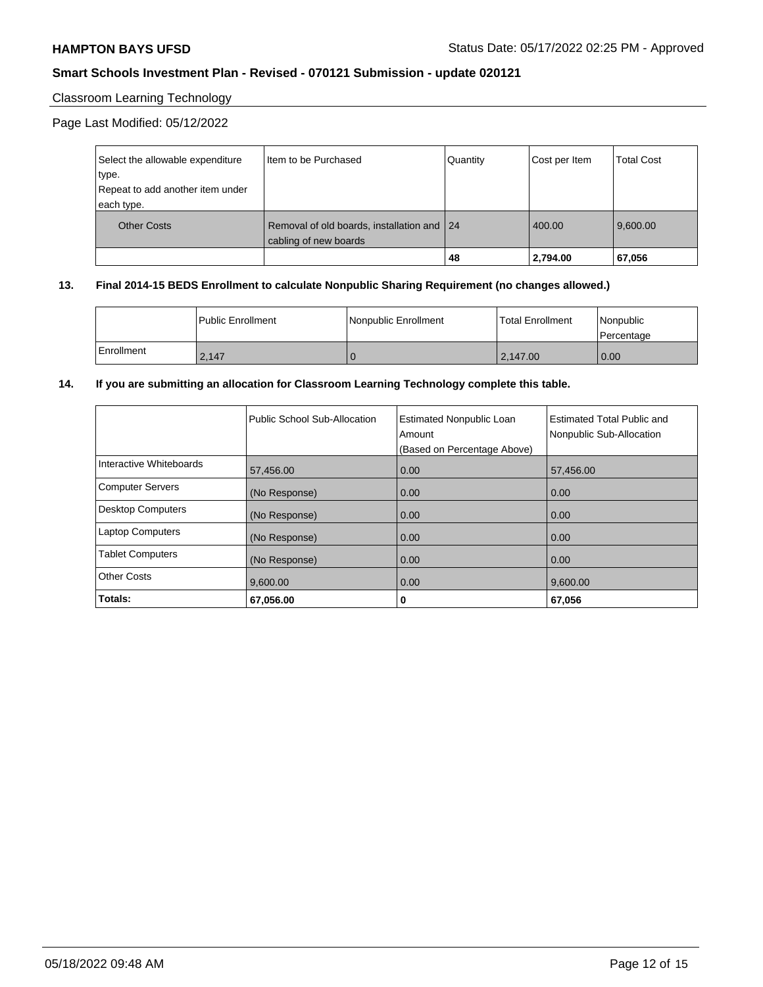### Classroom Learning Technology

Page Last Modified: 05/12/2022

| Select the allowable expenditure | I Item to be Purchased                                              | Quantity | Cost per Item | <b>Total Cost</b> |
|----------------------------------|---------------------------------------------------------------------|----------|---------------|-------------------|
| type.                            |                                                                     |          |               |                   |
| Repeat to add another item under |                                                                     |          |               |                   |
| each type.                       |                                                                     |          |               |                   |
| <b>Other Costs</b>               | Removal of old boards, installation and 24<br>cabling of new boards |          | 400.00        | 9.600.00          |
|                                  |                                                                     | 48       | 2,794.00      | 67,056            |

#### **13. Final 2014-15 BEDS Enrollment to calculate Nonpublic Sharing Requirement (no changes allowed.)**

|              | l Public Enrollment | Nonpublic Enrollment | Total Enrollment | l Nonpublic<br>l Percentage |
|--------------|---------------------|----------------------|------------------|-----------------------------|
| l Enrollment | 2.147               |                      | 2.147.00         | $\overline{0.00}$           |

# **14. If you are submitting an allocation for Classroom Learning Technology complete this table.**

|                          | Public School Sub-Allocation | <b>Estimated Nonpublic Loan</b><br>Amount<br>(Based on Percentage Above) | <b>Estimated Total Public and</b><br>Nonpublic Sub-Allocation |
|--------------------------|------------------------------|--------------------------------------------------------------------------|---------------------------------------------------------------|
| Interactive Whiteboards  | 57,456.00                    | 0.00                                                                     | 57,456.00                                                     |
| <b>Computer Servers</b>  | (No Response)                | 0.00                                                                     | 0.00                                                          |
| <b>Desktop Computers</b> | (No Response)                | 0.00                                                                     | 0.00                                                          |
| <b>Laptop Computers</b>  | (No Response)                | 0.00                                                                     | 0.00                                                          |
| <b>Tablet Computers</b>  | (No Response)                | 0.00                                                                     | 0.00                                                          |
| <b>Other Costs</b>       | 9,600.00                     | 0.00                                                                     | 9,600.00                                                      |
| Totals:                  | 67,056.00                    | 0                                                                        | 67,056                                                        |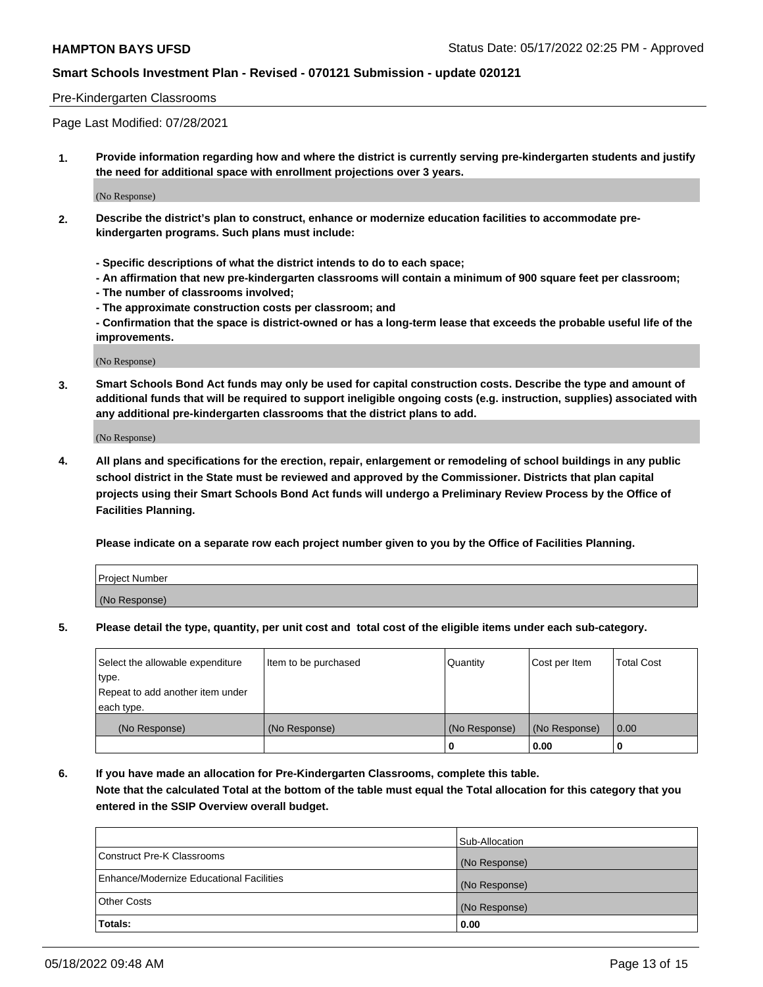#### Pre-Kindergarten Classrooms

Page Last Modified: 07/28/2021

**1. Provide information regarding how and where the district is currently serving pre-kindergarten students and justify the need for additional space with enrollment projections over 3 years.**

(No Response)

- **2. Describe the district's plan to construct, enhance or modernize education facilities to accommodate prekindergarten programs. Such plans must include:**
	- **Specific descriptions of what the district intends to do to each space;**
	- **An affirmation that new pre-kindergarten classrooms will contain a minimum of 900 square feet per classroom;**
	- **The number of classrooms involved;**
	- **The approximate construction costs per classroom; and**
	- **Confirmation that the space is district-owned or has a long-term lease that exceeds the probable useful life of the improvements.**

(No Response)

**3. Smart Schools Bond Act funds may only be used for capital construction costs. Describe the type and amount of additional funds that will be required to support ineligible ongoing costs (e.g. instruction, supplies) associated with any additional pre-kindergarten classrooms that the district plans to add.**

(No Response)

**4. All plans and specifications for the erection, repair, enlargement or remodeling of school buildings in any public school district in the State must be reviewed and approved by the Commissioner. Districts that plan capital projects using their Smart Schools Bond Act funds will undergo a Preliminary Review Process by the Office of Facilities Planning.**

**Please indicate on a separate row each project number given to you by the Office of Facilities Planning.**

| Project Number |  |
|----------------|--|
| (No Response)  |  |

**5. Please detail the type, quantity, per unit cost and total cost of the eligible items under each sub-category.**

| Select the allowable expenditure | Item to be purchased | Quantity      | Cost per Item | <b>Total Cost</b> |
|----------------------------------|----------------------|---------------|---------------|-------------------|
| type.                            |                      |               |               |                   |
| Repeat to add another item under |                      |               |               |                   |
| each type.                       |                      |               |               |                   |
| (No Response)                    | (No Response)        | (No Response) | (No Response) | 0.00              |
|                                  |                      | 0             | 0.00          |                   |

**6. If you have made an allocation for Pre-Kindergarten Classrooms, complete this table.**

**Note that the calculated Total at the bottom of the table must equal the Total allocation for this category that you entered in the SSIP Overview overall budget.**

|                                          | Sub-Allocation |
|------------------------------------------|----------------|
| Construct Pre-K Classrooms               | (No Response)  |
| Enhance/Modernize Educational Facilities | (No Response)  |
| <b>Other Costs</b>                       | (No Response)  |
| Totals:                                  | 0.00           |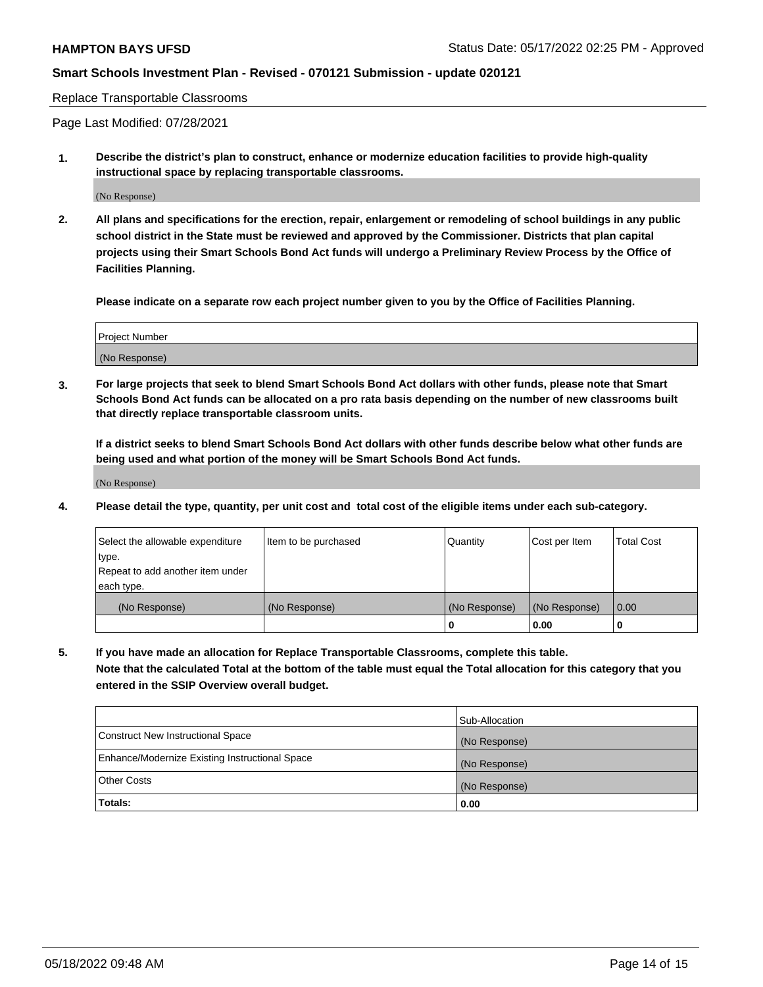Replace Transportable Classrooms

Page Last Modified: 07/28/2021

**1. Describe the district's plan to construct, enhance or modernize education facilities to provide high-quality instructional space by replacing transportable classrooms.**

(No Response)

**2. All plans and specifications for the erection, repair, enlargement or remodeling of school buildings in any public school district in the State must be reviewed and approved by the Commissioner. Districts that plan capital projects using their Smart Schools Bond Act funds will undergo a Preliminary Review Process by the Office of Facilities Planning.**

**Please indicate on a separate row each project number given to you by the Office of Facilities Planning.**

| <b>Project Number</b> |  |
|-----------------------|--|
| (No Response)         |  |

**3. For large projects that seek to blend Smart Schools Bond Act dollars with other funds, please note that Smart Schools Bond Act funds can be allocated on a pro rata basis depending on the number of new classrooms built that directly replace transportable classroom units.**

**If a district seeks to blend Smart Schools Bond Act dollars with other funds describe below what other funds are being used and what portion of the money will be Smart Schools Bond Act funds.**

(No Response)

**4. Please detail the type, quantity, per unit cost and total cost of the eligible items under each sub-category.**

| Select the allowable expenditure | Item to be purchased | Quantity      | Cost per Item | <b>Total Cost</b> |
|----------------------------------|----------------------|---------------|---------------|-------------------|
| type.                            |                      |               |               |                   |
| Repeat to add another item under |                      |               |               |                   |
| each type.                       |                      |               |               |                   |
| (No Response)                    | (No Response)        | (No Response) | (No Response) | 0.00              |
|                                  |                      | U             | 0.00          |                   |

**5. If you have made an allocation for Replace Transportable Classrooms, complete this table.**

**Note that the calculated Total at the bottom of the table must equal the Total allocation for this category that you entered in the SSIP Overview overall budget.**

|                                                | Sub-Allocation |
|------------------------------------------------|----------------|
| Construct New Instructional Space              | (No Response)  |
| Enhance/Modernize Existing Instructional Space | (No Response)  |
| <b>Other Costs</b>                             | (No Response)  |
| Totals:                                        | 0.00           |